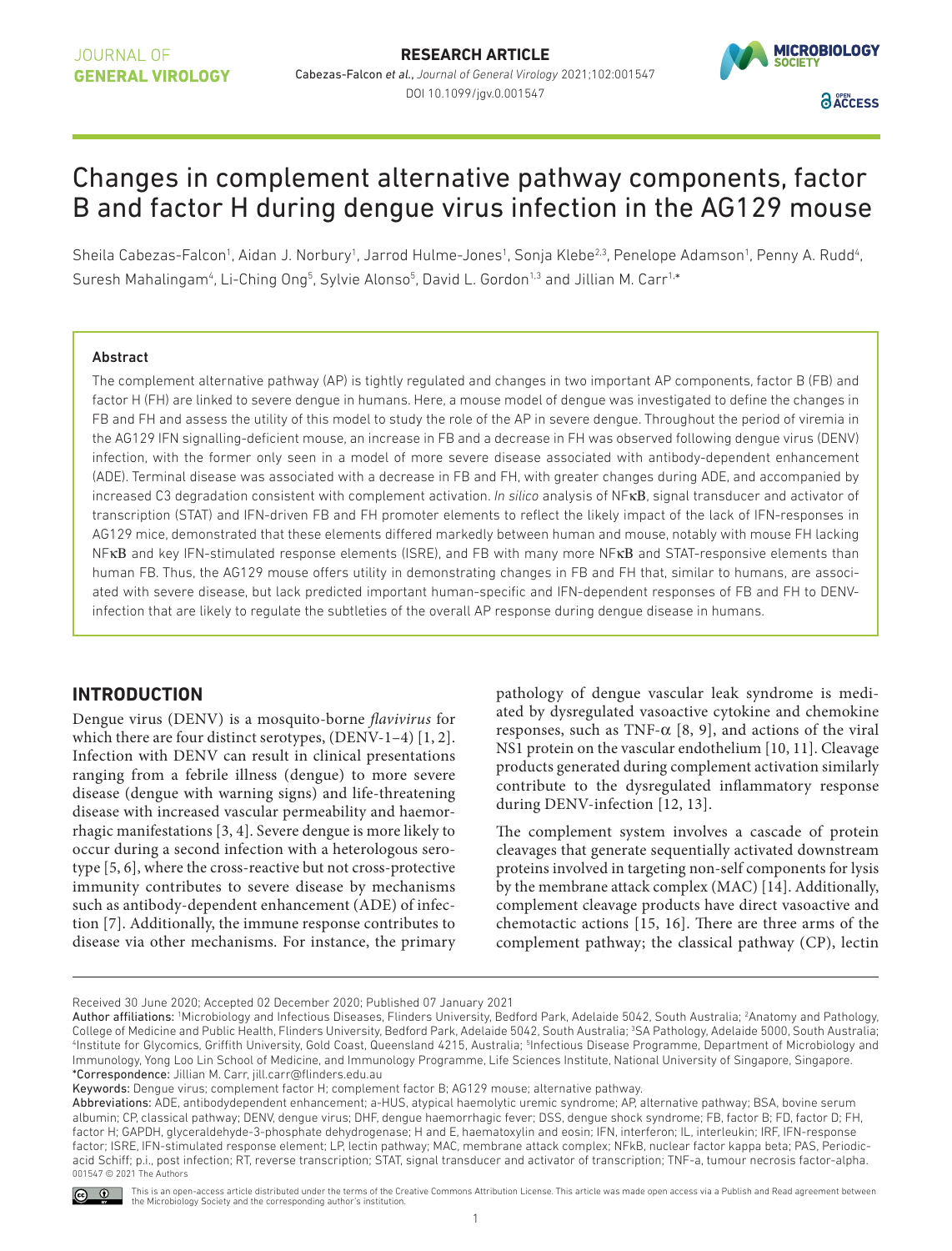

# Changes in complement alternative pathway components, factor B and factor H during dengue virus infection in the AG129 mouse

Sheila Cabezas-Falcon<sup>1</sup>, Aidan J. Norbury<sup>1</sup>, Jarrod Hulme-Jones<sup>1</sup>, Sonja Klebe<sup>23</sup>, Penelope Adamson<sup>1</sup>, Penny A. Rudd<sup>4</sup>, Suresh Mahalingam<sup>4</sup>, Li-Ching Ong<sup>5</sup>, Sylvie Alonso<sup>5</sup>, David L. Gordon<sup>1,3</sup> and Jillian M. Carr<sup>1,\*</sup>

#### Abstract

The complement alternative pathway (AP) is tightly regulated and changes in two important AP components, factor B (FB) and factor H (FH) are linked to severe dengue in humans. Here, a mouse model of dengue was investigated to define the changes in FB and FH and assess the utility of this model to study the role of the AP in severe dengue. Throughout the period of viremia in the AG129 IFN signalling- deficient mouse, an increase in FB and a decrease in FH was observed following dengue virus (DENV) infection, with the former only seen in a model of more severe disease associated with antibody-dependent enhancement (ADE). Terminal disease was associated with a decrease in FB and FH, with greater changes during ADE, and accompanied by increased C3 degradation consistent with complement activation. *In silico* analysis of NFκΒ, signal transducer and activator of transcription (STAT) and IFN- driven FB and FH promoter elements to reflect the likely impact of the lack of IFN- responses in AG129 mice, demonstrated that these elements differed markedly between human and mouse, notably with mouse FH lacking NFκΒ and key IFN- stimulated response elements (ISRE), and FB with many more NFκΒ and STAT- responsive elements than human FB. Thus, the AG129 mouse offers utility in demonstrating changes in FB and FH that, similar to humans, are associated with severe disease, but lack predicted important human- specific and IFN- dependent responses of FB and FH to DENVinfection that are likely to regulate the subtleties of the overall AP response during dengue disease in humans.

# **INTRODUCTION**

Dengue virus (DENV) is a mosquito- borne flavivirus for which there are four distinct serotypes, (DENV-1–4) [1, 2]. Infection with DENV can result in clinical presentations ranging from a febrile illness (dengue) to more severe disease (dengue with warning signs) and life-threatening disease with increased vascular permeability and haemorrhagic manifestations [3, 4]. Severe dengue is more likely to occur during a second infection with a heterologous serotype [5, 6], where the cross- reactive but not cross- protective immunity contributes to severe disease by mechanisms such as antibody- dependent enhancement (ADE) of infection [7]. Additionally, the immune response contributes to disease via other mechanisms. For instance, the primary

pathology of dengue vascular leak syndrome is mediated by dysregulated vasoactive cytokine and chemokine responses, such as TNF- $\alpha$  [8, 9], and actions of the viral NS1 protein on the vascular endothelium [10, 11]. Cleavage products generated during complement activation similarly contribute to the dysregulated inflammatory response during DENV-infection [12, 13].

The complement system involves a cascade of protein cleavages that generate sequentially activated downstream proteins involved in targeting non- self components for lysis by the membrane attack complex (MAC) [14]. Additionally, complement cleavage products have direct vasoactive and chemotactic actions [15, 16]. There are three arms of the complement pathway; the classical pathway (CP), lectin

Abbreviations: ADE, antibodydependent enhancement; a- HUS, atypical haemolytic uremic syndrome; AP, alternative pathway; BSA, bovine serum albumin; CP, classical pathway; DENV, dengue virus; DHF, dengue haemorrhagic fever; DSS, dengue shock syndrome; FB, factor B; FD, factor D; FH, factor H; GAPDH, glyceraldehyde-3-phosphate dehydrogenase; H and E, haematoxylin and eosin; IFN, interferon; IL, interleukin; IRF, IFN-response factor; ISRE, IFN- stimulated response element; LP, lectin pathway; MAC, membrane attack complex; NFkB, nuclear factor kappa beta; PAS, Periodicacid Schiff; p.i., post infection; RT, reverse transcription; STAT, signal transducer and activator of transcription; TNF-a, tumour necrosis factor-alpha.<br>001547 © 2021 The Authors



This is an open-access article distributed under the terms of the Creative Commons Attribution License. This article was made open access via a Publish and Read agreement between<br>the Microbiology Society and the correspond

Received 30 June 2020; Accepted 02 December 2020; Published 07 January 2021

Author affiliations: <sup>1</sup>Microbiology and Infectious Diseases, Flinders University, Bedford Park, Adelaide 5042, South Australia; <sup>2</sup>Anatomy and Pathology, College of Medicine and Public Health, Flinders University, Bedford Park, Adelaide 5042, South Australia; <sup>3</sup>SA Pathology, Adelaide 5000, South Australia; 4 Institute for Glycomics, Griffith University, Gold Coast, Queensland 4215, Australia; <sup>5</sup> Infectious Disease Programme, Department of Microbiology and Immunology, Yong Loo Lin School of Medicine, and Immunology Programme, Life Sciences Institute, National University of Singapore, Singapore. \*Correspondence: Jillian M. Carr, jill. carr@ flinders. edu. au

Keywords: Dengue virus; complement factor H; complement factor B; AG129 mouse; alternative pathway.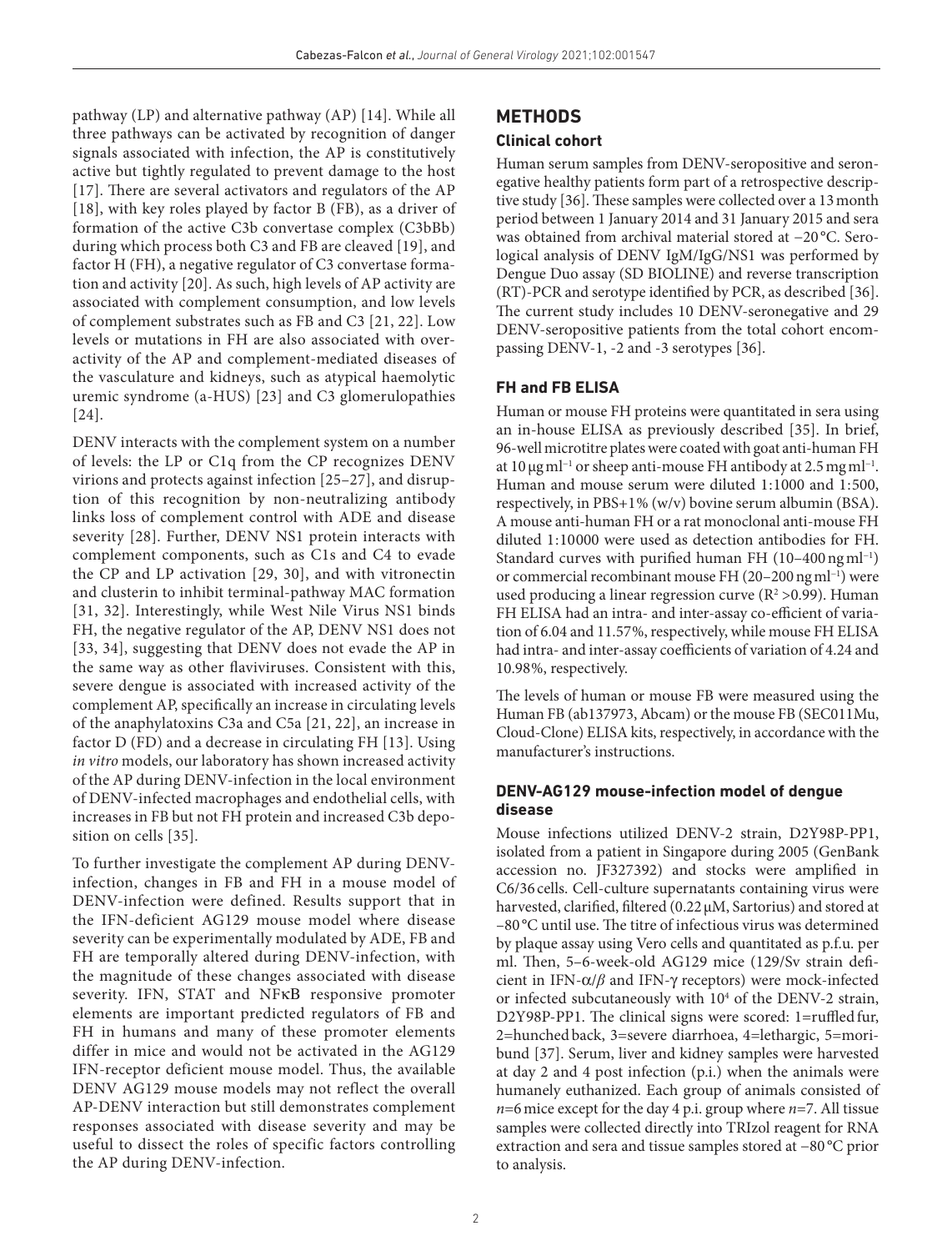pathway (LP) and alternative pathway (AP) [14]. While all three pathways can be activated by recognition of danger signals associated with infection, the AP is constitutively active but tightly regulated to prevent damage to the host [17]. There are several activators and regulators of the AP [18], with key roles played by factor B (FB), as a driver of formation of the active C3b convertase complex (C3bBb) during which process both C3 and FB are cleaved [19], and factor H (FH), a negative regulator of C3 convertase formation and activity [20]. As such, high levels of AP activity are associated with complement consumption, and low levels of complement substrates such as FB and C3 [21, 22]. Low levels or mutations in FH are also associated with overactivity of the AP and complement- mediated diseases of the vasculature and kidneys, such as atypical haemolytic uremic syndrome (a-HUS) [23] and C3 glomerulopathies [24].

DENV interacts with the complement system on a number of levels: the LP or C1q from the CP recognizes DENV virions and protects against infection [25–27], and disruption of this recognition by non- neutralizing antibody links loss of complement control with ADE and disease severity [28]. Further, DENV NS1 protein interacts with complement components, such as C1s and C4 to evade the CP and LP activation [29, 30], and with vitronectin and clusterin to inhibit terminal- pathway MAC formation [31, 32]. Interestingly, while West Nile Virus NS1 binds FH, the negative regulator of the AP, DENV NS1 does not [33, 34], suggesting that DENV does not evade the AP in the same way as other flaviviruses. Consistent with this, severe dengue is associated with increased activity of the complement AP, specifically an increase in circulating levels of the anaphylatoxins C3a and C5a [21, 22], an increase in factor D (FD) and a decrease in circulating FH [13]. Using in vitro models, our laboratory has shown increased activity of the AP during DENV- infection in the local environment of DENV- infected macrophages and endothelial cells, with increases in FB but not FH protein and increased C3b deposition on cells [35].

To further investigate the complement AP during DENVinfection, changes in FB and FH in a mouse model of DENV- infection were defined. Results support that in the IFN- deficient AG129 mouse model where disease severity can be experimentally modulated by ADE, FB and FH are temporally altered during DENV-infection, with the magnitude of these changes associated with disease severity. IFN, STAT and NFκΒ responsive promoter elements are important predicted regulators of FB and FH in humans and many of these promoter elements differ in mice and would not be activated in the AG129 IFN- receptor deficient mouse model. Thus, the available DENV AG129 mouse models may not reflect the overall AP- DENV interaction but still demonstrates complement responses associated with disease severity and may be useful to dissect the roles of specific factors controlling the AP during DENV-infection.

# **METHODS**

### **Clinical cohort**

Human serum samples from DENV-seropositive and seronegative healthy patients form part of a retrospective descriptive study [36]. These samples were collected over a 13 month period between 1 January 2014 and 31 January 2015 and sera was obtained from archival material stored at −20 °C. Serological analysis of DENV IgM/IgG/NS1 was performed by Dengue Duo assay (SD BIOLINE) and reverse transcription (RT)- PCR and serotype identified by PCR, as described [36]. The current study includes 10 DENV-seronegative and 29 DENV- seropositive patients from the total cohort encompassing DENV-1, -2 and -3 serotypes [36].

# **FH and FB ELISA**

Human or mouse FH proteins were quantitated in sera using an in- house ELISA as previously described [35]. In brief, 96- well microtitre plates were coated with goat anti- human FH at 10  $\mu$ g ml<sup>-1</sup> or sheep anti-mouse FH antibody at 2.5 mg ml<sup>-1</sup>. Human and mouse serum were diluted 1:1000 and 1:500, respectively, in PBS+1% (w/v) bovine serum albumin (BSA). A mouse anti- human FH or a rat monoclonal anti- mouse FH diluted 1:10000 were used as detection antibodies for FH. Standard curves with purified human FH (10–400 ng ml−1) or commercial recombinant mouse FH (20–200 ng ml−1) were used producing a linear regression curve  $(R^2 > 0.99)$ . Human FH ELISA had an intra- and inter-assay co-efficient of variation of 6.04 and 11.57 %, respectively, while mouse FH ELISA had intra- and inter- assay coefficients of variation of 4.24 and 10.98 %, respectively.

The levels of human or mouse FB were measured using the Human FB (ab137973, Abcam) or the mouse FB (SEC011Mu, Cloud- Clone) ELISA kits, respectively, in accordance with the manufacturer's instructions.

### **DENV-AG129 mouse-infection model of dengue disease**

Mouse infections utilized DENV-2 strain, D2Y98P-PP1, isolated from a patient in Singapore during 2005 (GenBank accession no. JF327392) and stocks were amplified in C6/36 cells. Cell- culture supernatants containing virus were harvested, clarified, filtered (0.22 µM, Sartorius) and stored at –80 °C until use. The titre of infectious virus was determined by plaque assay using Vero cells and quantitated as p.f.u. per ml. Then, 5–6- week- old AG129 mice (129/Sv strain deficient in IFN-α/β and IFN-γ receptors) were mock-infected or infected subcutaneously with 10<sup>4</sup> of the DENV-2 strain, D2Y98P-PP1. The clinical signs were scored: 1=ruffled fur, 2=hunched back, 3=severe diarrhoea, 4=lethargic, 5=moribund [37]. Serum, liver and kidney samples were harvested at day 2 and 4 post infection (p.i.) when the animals were humanely euthanized. Each group of animals consisted of  $n=6$  mice except for the day 4 p.i. group where  $n=7$ . All tissue samples were collected directly into TRIzol reagent for RNA extraction and sera and tissue samples stored at −80 °C prior to analysis.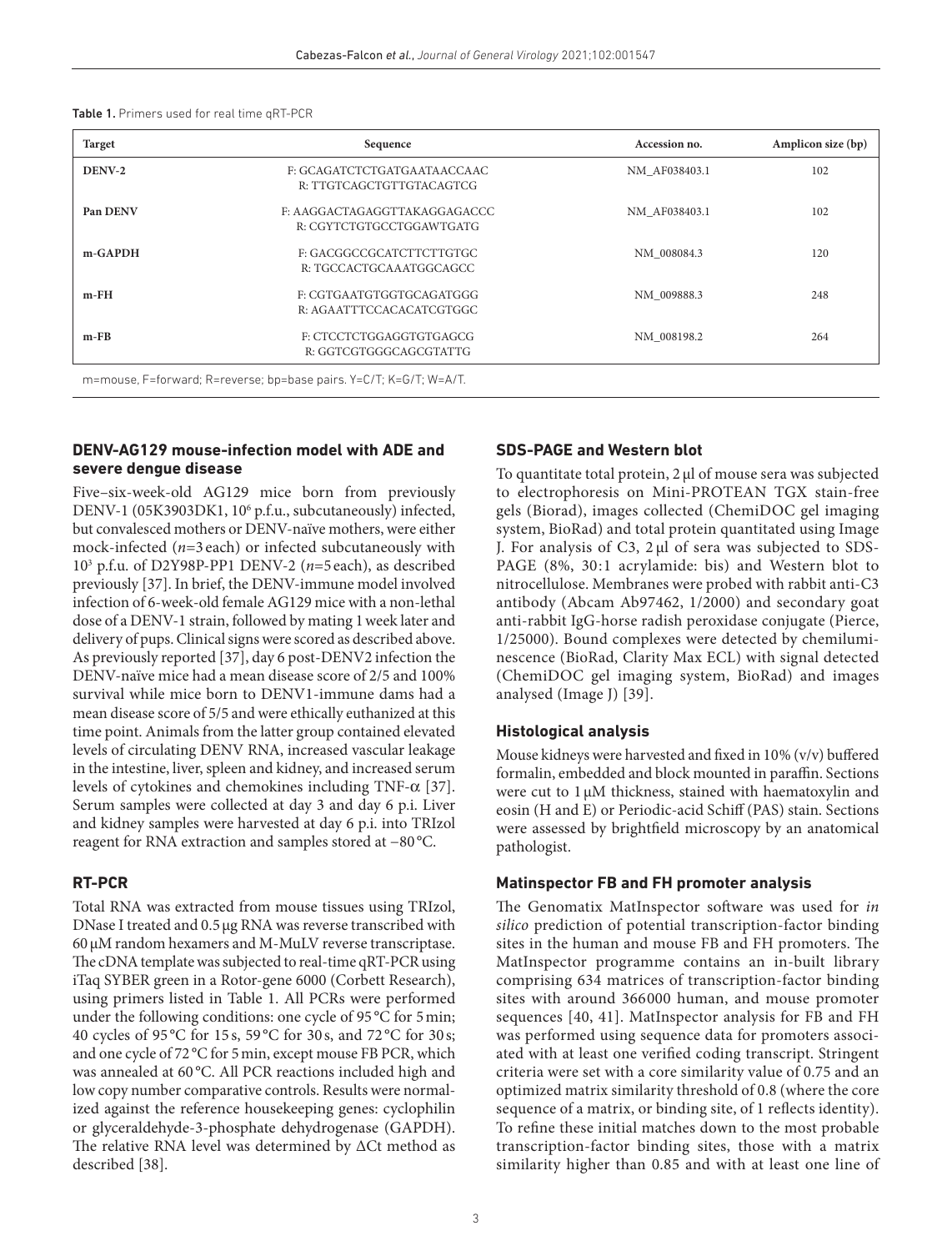|  | <b>Table 1.</b> Primers used for real time qRT-PCR |
|--|----------------------------------------------------|
|--|----------------------------------------------------|

| Target   | Sequence                                                           | Accession no. | Amplicon size (bp) |  |
|----------|--------------------------------------------------------------------|---------------|--------------------|--|
| DENV-2   | F: GCAGATCTCTGATGAATAACCAAC<br>R: TTGTCAGCTGTTGTACAGTCG            | NM AF038403.1 | 102                |  |
| Pan DENV | F: AAGGACTAGAGGTTAKAGGAGACCC<br>R: CGYTCTGTGCCTGGAWTGATG           | NM AF038403.1 | 102                |  |
| m-GAPDH  | F: GACGGCCGCATCTTCTTGTGC<br>R: TGCCACTGCAAATGGCAGCC                | NM 008084.3   | 120                |  |
| $m$ -FH  | F: CGTGAATGTGGTGCAGATGGG<br>R: AGAATTTCCACACATCGTGGC               | NM 009888.3   | 248                |  |
| $m$ -FB  | F: CTCCTCTGGAGGTGTGAGCG<br>R: GGTCGTGGGCAGCGTATTG                  | NM 008198.2   | 264                |  |
|          | m=mouse, F=forward; R=reverse; bp=base pairs. Y=C/T; K=G/T; W=A/T. |               |                    |  |

#### **DENV-AG129 mouse-infection model with ADE and severe dengue disease**

Five–six- week- old AG129 mice born from previously DENV-1 (05K3903DK1, 10<sup>6</sup> p.f.u., subcutaneously) infected, but convalesced mothers or DENV- naïve mothers, were either mock-infected  $(n=3 \text{ each})$  or infected subcutaneously with 10<sup>3</sup> p.f.u. of D2Y98P-PP1 DENV-2 ( $n=5$  each), as described previously [37]. In brief, the DENV- immune model involved infection of 6- week- old female AG129 mice with a non- lethal dose of a DENV-1 strain, followed by mating 1 week later and delivery of pups. Clinical signs were scored as described above. As previously reported [37], day 6 post- DENV2 infection the DENV- naïve mice had a mean disease score of 2/5 and 100% survival while mice born to DENV1-immune dams had a mean disease score of 5/5 and were ethically euthanized at this time point. Animals from the latter group contained elevated levels of circulating DENV RNA, increased vascular leakage in the intestine, liver, spleen and kidney, and increased serum levels of cytokines and chemokines including TNF- $\alpha$  [37]. Serum samples were collected at day 3 and day 6 p.i. Liver and kidney samples were harvested at day 6 p.i. into TRIzol reagent for RNA extraction and samples stored at −80 °C.

### **RT-PCR**

Total RNA was extracted from mouse tissues using TRIzol, DNase I treated and 0.5 µg RNA was reverse transcribed with 60 µM random hexamers and M- MuLV reverse transcriptase. The cDNA template was subjected to real- time qRT- PCR using iTaq SYBER green in a Rotor- gene 6000 (Corbett Research), using primers listed in Table 1. All PCRs were performed under the following conditions: one cycle of 95 °C for 5 min; 40 cycles of 95 °C for 15 s, 59 °C for 30 s, and 72 °C for 30 s; and one cycle of 72 °C for 5 min, except mouse FB PCR, which was annealed at 60 °C. All PCR reactions included high and low copy number comparative controls. Results were normalized against the reference housekeeping genes: cyclophilin or glyceraldehyde-3- phosphate dehydrogenase (GAPDH). The relative RNA level was determined by ΔCt method as described [38].

### **SDS-PAGE and Western blot**

To quantitate total protein, 2 µl of mouse sera was subjected to electrophoresis on Mini- PROTEAN TGX stain- free gels (Biorad), images collected (ChemiDOC gel imaging system, BioRad) and total protein quantitated using Image J. For analysis of C3, 2 µl of sera was subjected to SDS-PAGE (8%, 30:1 acrylamide: bis) and Western blot to nitrocellulose. Membranes were probed with rabbit anti- C3 antibody (Abcam Ab97462, 1/2000) and secondary goat anti- rabbit IgG- horse radish peroxidase conjugate (Pierce, 1/25000). Bound complexes were detected by chemiluminescence (BioRad, Clarity Max ECL) with signal detected (ChemiDOC gel imaging system, BioRad) and images analysed (Image J) [39].

#### **Histological analysis**

Mouse kidneys were harvested and fixed in 10% (v/v) buffered formalin, embedded and block mounted in paraffin. Sections were cut to 1  $\mu$ M thickness, stained with haematoxylin and eosin (H and E) or Periodic- acid Schiff (PAS) stain. Sections were assessed by brightfield microscopy by an anatomical pathologist.

#### **Matinspector FB and FH promoter analysis**

The Genomatix MatInspector software was used for in silico prediction of potential transcription- factor binding sites in the human and mouse FB and FH promoters. The MatInspector programme contains an in-built library comprising 634 matrices of transcription- factor binding sites with around 366 000 human, and mouse promoter sequences [40, 41]. MatInspector analysis for FB and FH was performed using sequence data for promoters associated with at least one verified coding transcript. Stringent criteria were set with a core similarity value of 0.75 and an optimized matrix similarity threshold of 0.8 (where the core sequence of a matrix, or binding site, of 1 reflects identity). To refine these initial matches down to the most probable transcription- factor binding sites, those with a matrix similarity higher than 0.85 and with at least one line of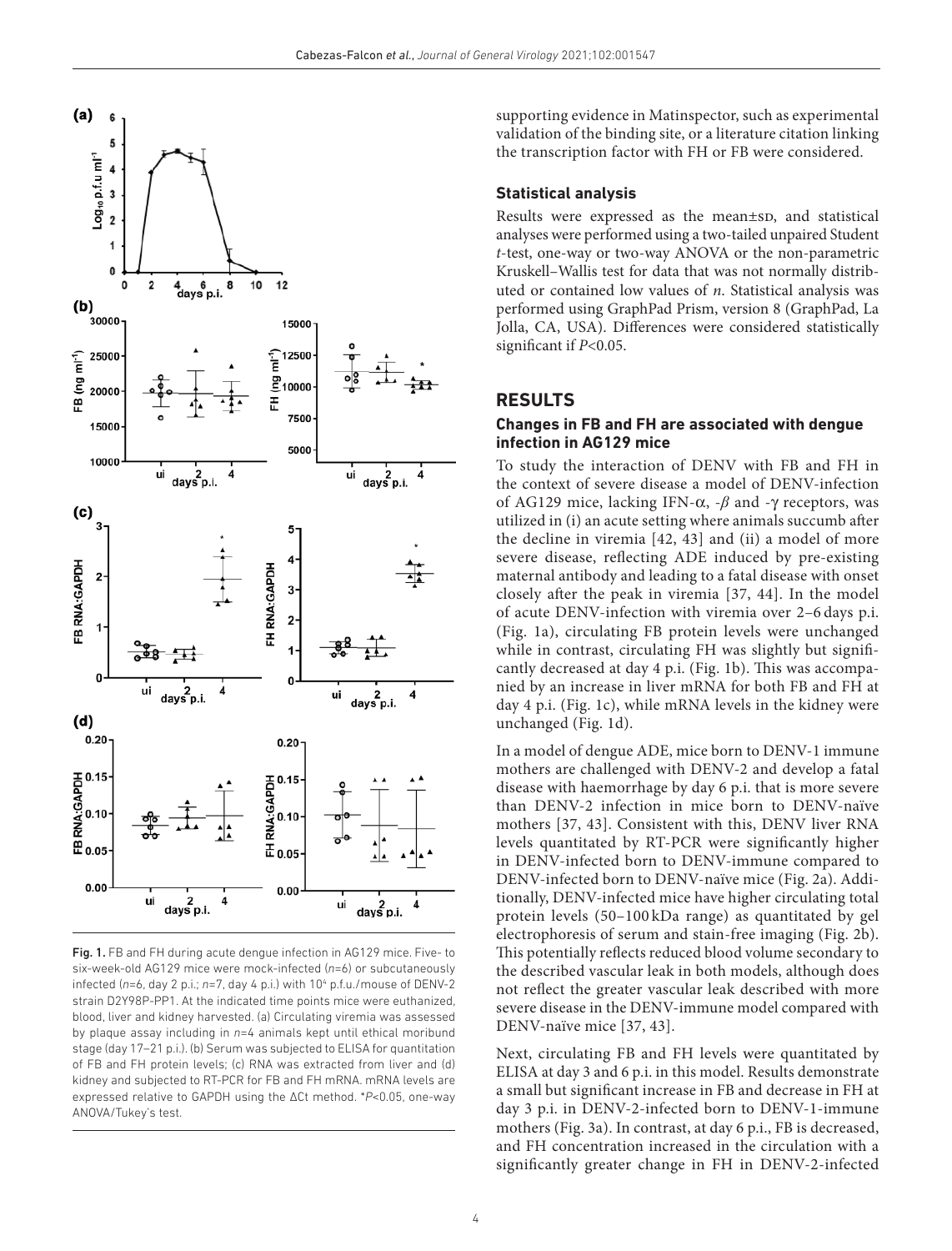

Fig. 1. FB and FH during acute dengue infection in AG129 mice. Five- to six- week- old AG129 mice were mock- infected (*n*=6) or subcutaneously infected (n=6, day 2 p.i.; n=7, day 4 p.i.) with 10<sup>4</sup> p.f.u./mouse of DENV-2 strain D2Y98P-PP1. At the indicated time points mice were euthanized, blood, liver and kidney harvested. (a) Circulating viremia was assessed by plaque assay including in *n*=4 animals kept until ethical moribund stage (day 17–21 p.i.). (b) Serum was subjected to ELISA for quantitation of FB and FH protein levels; (c) RNA was extracted from liver and (d) kidney and subjected to RT-PCR for FB and FH mRNA. mRNA levels are expressed relative to GAPDH using the ΔCt method. \**P*<0.05, one- way ANOVA/Tukey's test.

supporting evidence in Matinspector, such as experimental validation of the binding site, or a literature citation linking the transcription factor with FH or FB were considered.

### **Statistical analysis**

Results were expressed as the mean±sp, and statistical analyses were performed using a two- tailed unpaired Student t- test, one- way or two- way ANOVA or the non- parametric Kruskell–Wallis test for data that was not normally distributed or contained low values of n. Statistical analysis was performed using GraphPad Prism, version 8 (GraphPad, La Jolla, CA, USA). Differences were considered statistically significant if  $P<0.05$ .

# **RESULTS**

### **Changes in FB and FH are associated with dengue infection in AG129 mice**

To study the interaction of DENV with FB and FH in the context of severe disease a model of DENV- infection of AG129 mice, lacking IFN-α, -*β* and -γ receptors, was utilized in (i) an acute setting where animals succumb after the decline in viremia [42, 43] and (ii) a model of more severe disease, reflecting ADE induced by pre-existing maternal antibody and leading to a fatal disease with onset closely after the peak in viremia [37, 44]. In the model of acute DENV- infection with viremia over 2–6 days p.i. (Fig. 1a), circulating FB protein levels were unchanged while in contrast, circulating FH was slightly but significantly decreased at day 4 p.i. (Fig. 1b). This was accompanied by an increase in liver mRNA for both FB and FH at day 4 p.i. (Fig. 1c), while mRNA levels in the kidney were unchanged (Fig. 1d).

In a model of dengue ADE, mice born to DENV-1 immune mothers are challenged with DENV-2 and develop a fatal disease with haemorrhage by day 6 p.i. that is more severe than DENV-2 infection in mice born to DENV-naïve mothers [37, 43]. Consistent with this, DENV liver RNA levels quantitated by RT- PCR were significantly higher in DENV-infected born to DENV-immune compared to DENV-infected born to DENV-naïve mice (Fig. 2a). Additionally, DENV- infected mice have higher circulating total protein levels (50–100 kDa range) as quantitated by gel electrophoresis of serum and stain- free imaging (Fig. 2b). This potentially reflects reduced blood volume secondary to the described vascular leak in both models, although does not reflect the greater vascular leak described with more severe disease in the DENV- immune model compared with DENV-naïve mice [37, 43].

Next, circulating FB and FH levels were quantitated by ELISA at day 3 and 6 p.i. in this model. Results demonstrate a small but significant increase in FB and decrease in FH at day 3 p.i. in DENV-2-infected born to DENV-1-immune mothers (Fig. 3a). In contrast, at day 6 p.i., FB is decreased, and FH concentration increased in the circulation with a significantly greater change in FH in DENV-2- infected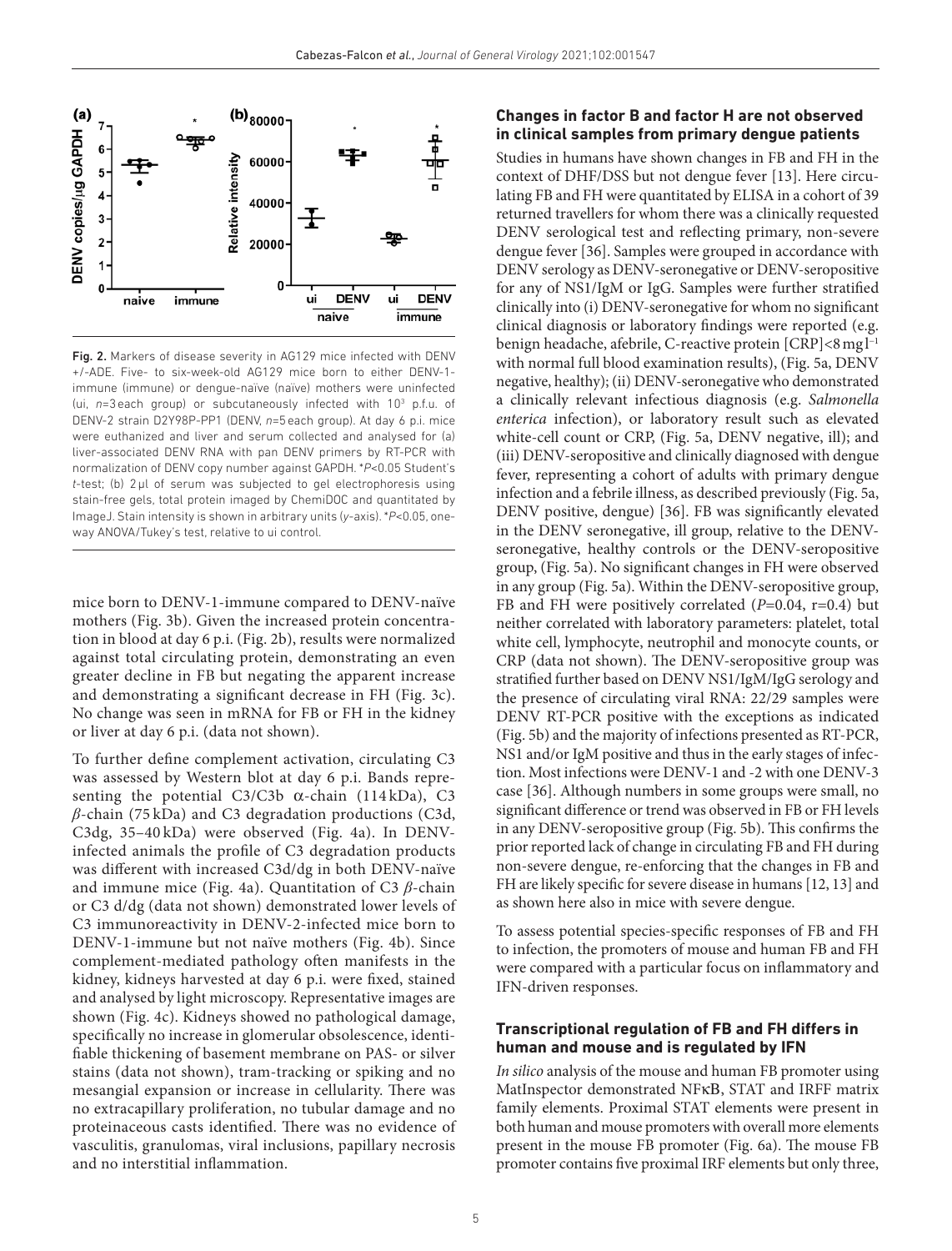

Fig. 2. Markers of disease severity in AG129 mice infected with DENV +/-ADE. Five- to six- week- old AG129 mice born to either DENV-1 immune (immune) or dengue- naïve (naïve) mothers were uninfected (ui, n=3 each group) or subcutaneously infected with 10<sup>3</sup> p.f.u. of DENV-2 strain D2Y98P-PP1 (DENV, n=5 each group). At day 6 p.i. mice were euthanized and liver and serum collected and analysed for (a) liver-associated DENV RNA with pan DENV primers by RT-PCR with normalization of DENV copy number against GAPDH. \**P*<0.05 Student's *t*- test; (b) 2 µl of serum was subjected to gel electrophoresis using stain- free gels, total protein imaged by ChemiDOC and quantitated by ImageJ. Stain intensity is shown in arbitrary units (*y*- axis). \**P*<0.05, oneway ANOVA/Tukey's test, relative to ui control.

mice born to DENV-1-immune compared to DENV-naïve mothers (Fig. 3b). Given the increased protein concentration in blood at day 6 p.i. (Fig. 2b), results were normalized against total circulating protein, demonstrating an even greater decline in FB but negating the apparent increase and demonstrating a significant decrease in FH (Fig. 3c). No change was seen in mRNA for FB or FH in the kidney or liver at day 6 p.i. (data not shown).

To further define complement activation, circulating C3 was assessed by Western blot at day 6 p.i. Bands representing the potential C3/C3b  $\alpha$ -chain (114kDa), C3 *β*-chain (75 kDa) and C3 degradation productions (C3d, C3dg, 35–40 kDa) were observed (Fig. 4a). In DENVinfected animals the profile of C3 degradation products was different with increased C3d/dg in both DENV-naïve and immune mice (Fig. 4a). Quantitation of C3 *β*-chain or C3 d/dg (data not shown) demonstrated lower levels of C3 immunoreactivity in DENV-2- infected mice born to DENV-1- immune but not naïve mothers (Fig. 4b). Since complement- mediated pathology often manifests in the kidney, kidneys harvested at day 6 p.i. were fixed, stained and analysed by light microscopy. Representative images are shown (Fig. 4c). Kidneys showed no pathological damage, specifically no increase in glomerular obsolescence, identifiable thickening of basement membrane on PAS- or silver stains (data not shown), tram- tracking or spiking and no mesangial expansion or increase in cellularity. There was no extracapillary proliferation, no tubular damage and no proteinaceous casts identified. There was no evidence of vasculitis, granulomas, viral inclusions, papillary necrosis and no interstitial inflammation.

### **Changes in factor B and factor H are not observed in clinical samples from primary dengue patients**

Studies in humans have shown changes in FB and FH in the context of DHF/DSS but not dengue fever [13]. Here circulating FB and FH were quantitated by ELISA in a cohort of 39 returned travellers for whom there was a clinically requested DENV serological test and reflecting primary, non-severe dengue fever [36]. Samples were grouped in accordance with DENV serology as DENV- seronegative or DENV- seropositive for any of NS1/IgM or IgG. Samples were further stratified clinically into (i) DENV- seronegative for whom no significant clinical diagnosis or laboratory findings were reported (e.g. benign headache, afebrile, C-reactive protein [CRP]<8 mg l<sup>-1</sup> with normal full blood examination results), (Fig. 5a, DENV negative, healthy); (ii) DENV- seronegative who demonstrated a clinically relevant infectious diagnosis (e.g. Salmonella enterica infection), or laboratory result such as elevated white-cell count or CRP, (Fig. 5a, DENV negative, ill); and (iii) DENV- seropositive and clinically diagnosed with dengue fever, representing a cohort of adults with primary dengue infection and a febrile illness, as described previously (Fig. 5a, DENV positive, dengue) [36]. FB was significantly elevated in the DENV seronegative, ill group, relative to the DENVseronegative, healthy controls or the DENV-seropositive group, (Fig. 5a). No significant changes in FH were observed in any group (Fig. 5a). Within the DENV- seropositive group, FB and FH were positively correlated  $(P=0.04, r=0.4)$  but neither correlated with laboratory parameters: platelet, total white cell, lymphocyte, neutrophil and monocyte counts, or CRP (data not shown). The DENV- seropositive group was stratified further based on DENV NS1/IgM/IgG serology and the presence of circulating viral RNA: 22/29 samples were DENV RT-PCR positive with the exceptions as indicated (Fig. 5b) and the majority of infections presented as RT- PCR, NS1 and/or IgM positive and thus in the early stages of infection. Most infections were DENV-1 and -2 with one DENV-3 case [36]. Although numbers in some groups were small, no significant difference or trend was observed in FB or FH levels in any DENV- seropositive group (Fig. 5b). This confirms the prior reported lack of change in circulating FB and FH during non- severe dengue, re- enforcing that the changes in FB and FH are likely specific for severe disease in humans [12, 13] and as shown here also in mice with severe dengue.

To assess potential species- specific responses of FB and FH to infection, the promoters of mouse and human FB and FH were compared with a particular focus on inflammatory and IFN- driven responses.

### **Transcriptional regulation of FB and FH differs in human and mouse and is regulated by IFN**

In silico analysis of the mouse and human FB promoter using MatInspector demonstrated NFκΒ, STAT and IRFF matrix family elements. Proximal STAT elements were present in both human and mouse promoters with overall more elements present in the mouse FB promoter (Fig. 6a). The mouse FB promoter contains five proximal IRF elements but only three,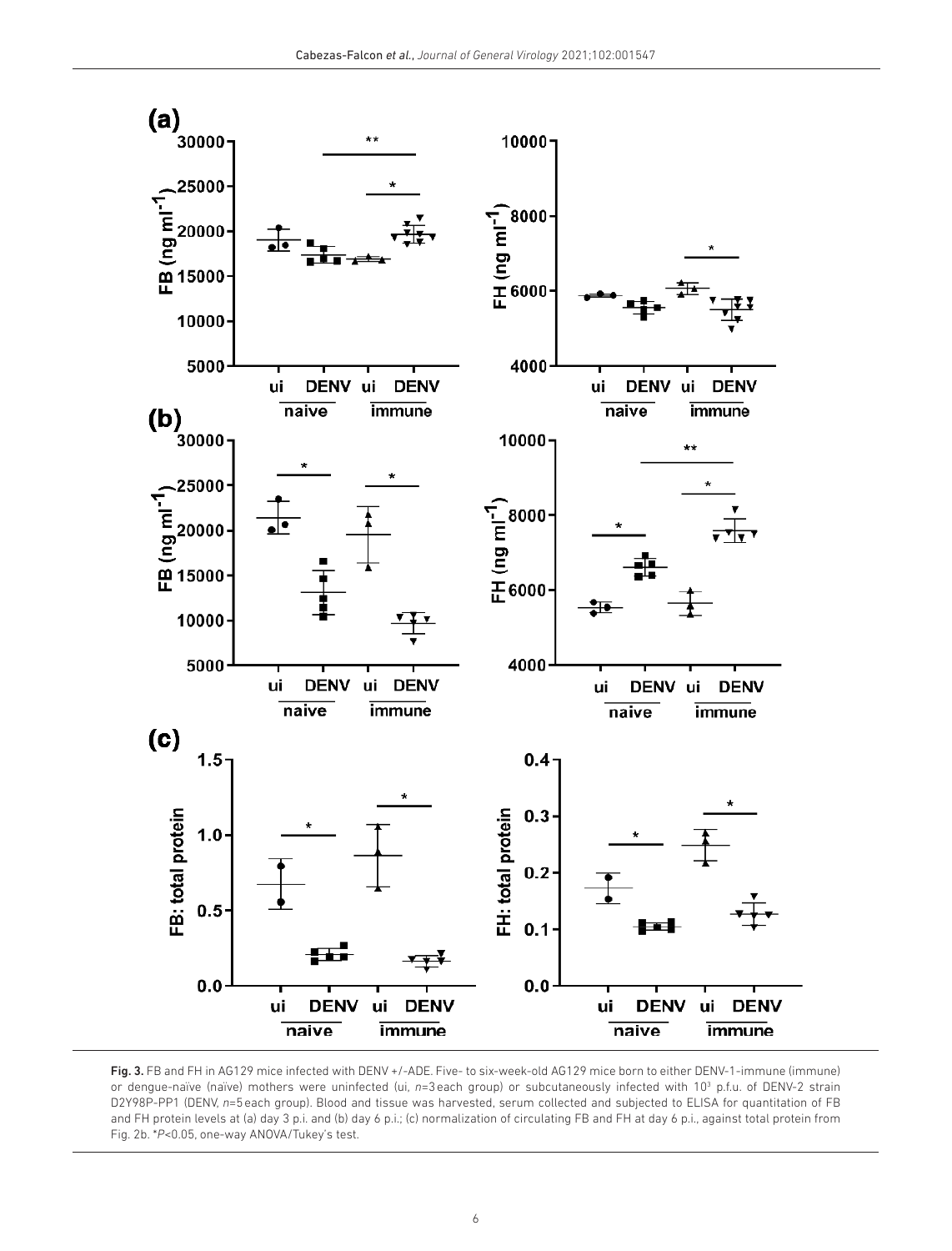

Fig. 3. FB and FH in AG129 mice infected with DENV +/-ADE. Five- to six-week-old AG129 mice born to either DENV-1-immune (immune) or dengue-naïve (naïve) mothers were uninfected (ui, n=3 each group) or subcutaneously infected with 10<sup>3</sup> p.f.u. of DENV-2 strain D2Y98P-PP1 (DENV, n=5 each group). Blood and tissue was harvested, serum collected and subjected to ELISA for quantitation of FB and FH protein levels at (a) day 3 p.i. and (b) day 6 p.i.; (c) normalization of circulating FB and FH at day 6 p.i., against total protein from Fig. 2b. \*P<0.05, one-way ANOVA/Tukey's test.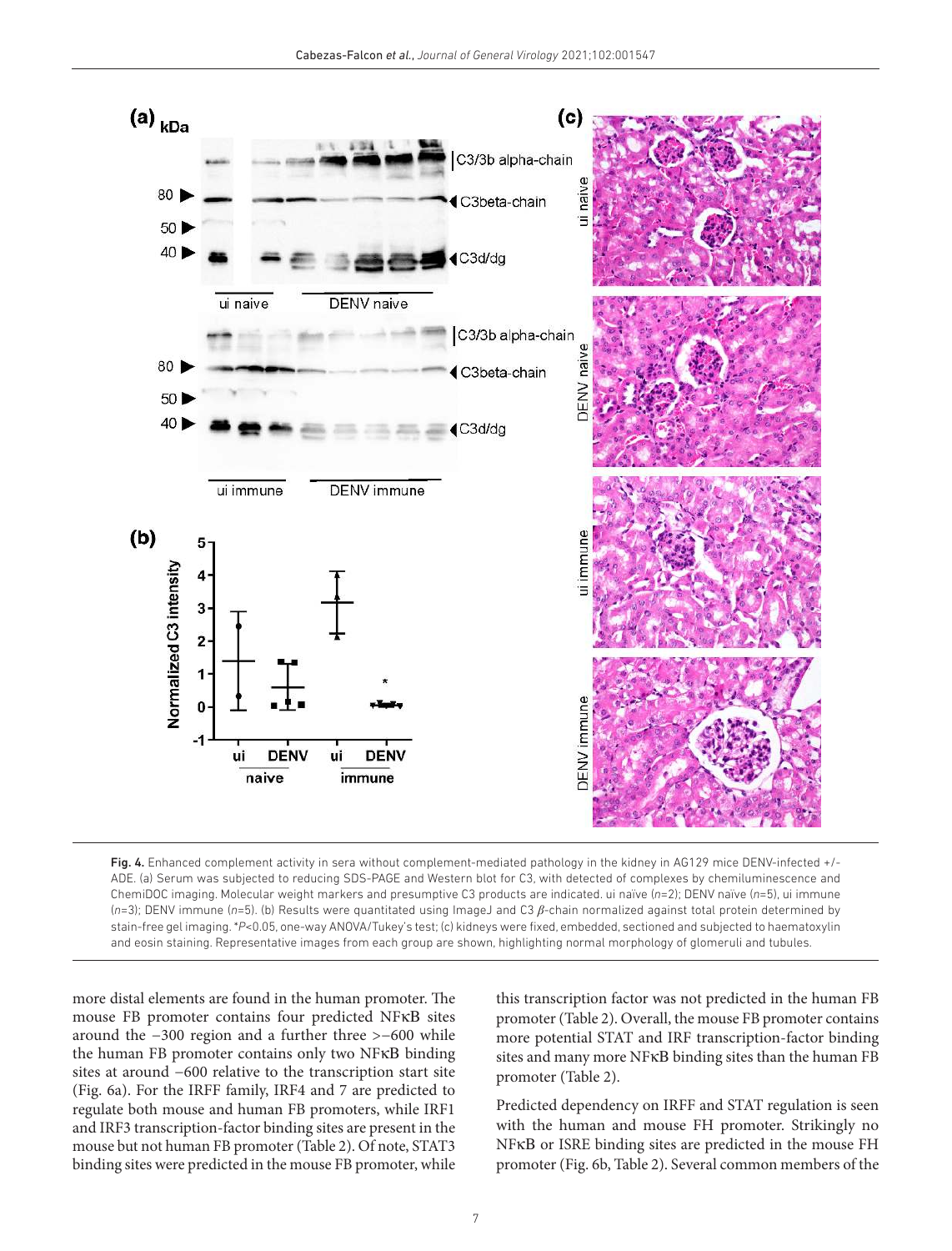

Fig. 4. Enhanced complement activity in sera without complement-mediated pathology in the kidney in AG129 mice DENV-infected +/-ADE. (a) Serum was subjected to reducing SDS-PAGE and Western blot for C3, with detected of complexes by chemiluminescence and ChemiDOC imaging. Molecular weight markers and presumptive C3 products are indicated. ui naïve (*n*=2); DENV naïve (*n*=5), ui immune (*n*=3); DENV immune (*n*=5). (b) Results were quantitated using ImageJ and C3 *β*-chain normalized against total protein determined by stain- free gel imaging. \**P*<0.05, one- way ANOVA/Tukey's test; (c) kidneys were fixed, embedded, sectioned and subjected to haematoxylin and eosin staining. Representative images from each group are shown, highlighting normal morphology of glomeruli and tubules.

more distal elements are found in the human promoter. The mouse FB promoter contains four predicted NFκΒ sites around the −300 region and a further three >−600 while the human FB promoter contains only two NFκΒ binding sites at around −600 relative to the transcription start site (Fig. 6a). For the IRFF family, IRF4 and 7 are predicted to regulate both mouse and human FB promoters, while IRF1 and IRF3 transcription- factor binding sites are present in the mouse but not human FB promoter (Table 2). Of note, STAT3 binding sites were predicted in the mouse FB promoter, while

this transcription factor was not predicted in the human FB promoter (Table 2). Overall, the mouse FB promoter contains more potential STAT and IRF transcription- factor binding sites and many more NFκΒ binding sites than the human FB promoter (Table 2).

Predicted dependency on IRFF and STAT regulation is seen with the human and mouse FH promoter. Strikingly no NFκΒ or ISRE binding sites are predicted in the mouse FH promoter (Fig. 6b, Table 2). Several common members of the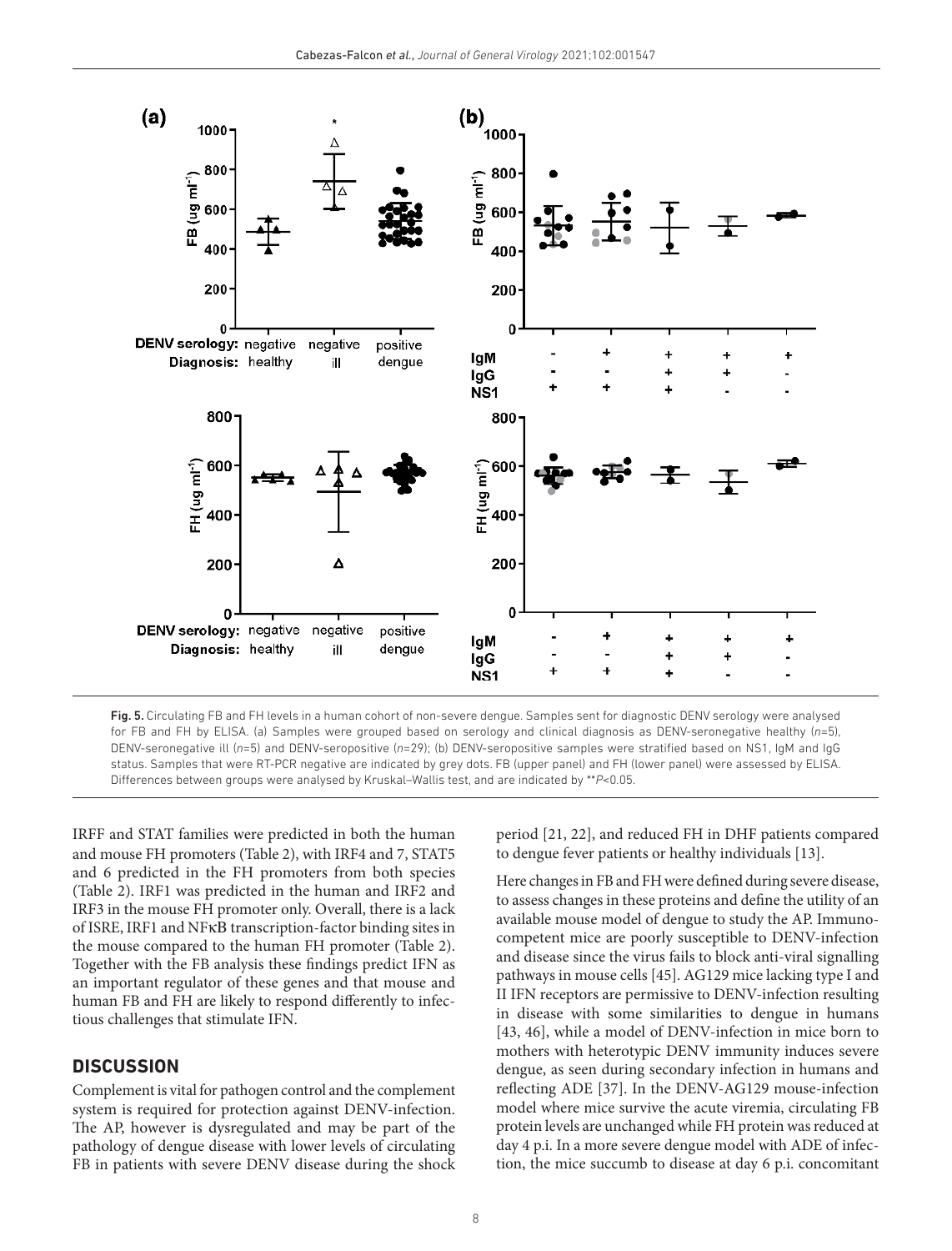

Fig. 5. Circulating FB and FH levels in a human cohort of non-severe dengue. Samples sent for diagnostic DENV serology were analysed for FB and FH by ELISA. (a) Samples were grouped based on serology and clinical diagnosis as DENV- seronegative healthy (*n*=5), DENV- seronegative ill (*n*=5) and DENV- seropositive (*n*=29); (b) DENV- seropositive samples were stratified based on NS1, IgM and IgG status. Samples that were RT- PCR negative are indicated by grey dots. FB (upper panel) and FH (lower panel) were assessed by ELISA. Differences between groups were analysed by Kruskal–Wallis test, and are indicated by \*\**P*<0.05.

IRFF and STAT families were predicted in both the human and mouse FH promoters (Table 2), with IRF4 and 7, STAT5 and 6 predicted in the FH promoters from both species (Table 2). IRF1 was predicted in the human and IRF2 and IRF3 in the mouse FH promoter only. Overall, there is a lack of ISRE, IRF1 and NFκΒ transcription- factor binding sites in the mouse compared to the human FH promoter (Table 2). Together with the FB analysis these findings predict IFN as an important regulator of these genes and that mouse and human FB and FH are likely to respond differently to infectious challenges that stimulate IFN.

# **DISCUSSION**

Complement is vital for pathogen control and the complement system is required for protection against DENV-infection. The AP, however is dysregulated and may be part of the pathology of dengue disease with lower levels of circulating FB in patients with severe DENV disease during the shock

period [21, 22], and reduced FH in DHF patients compared to dengue fever patients or healthy individuals [13].

Here changes in FB and FH were defined during severe disease, to assess changes in these proteins and define the utility of an available mouse model of dengue to study the AP. Immunocompetent mice are poorly susceptible to DENV- infection and disease since the virus fails to block anti- viral signalling pathways in mouse cells [45]. AG129 mice lacking type I and II IFN receptors are permissive to DENV- infection resulting in disease with some similarities to dengue in humans [43, 46], while a model of DENV-infection in mice born to mothers with heterotypic DENV immunity induces severe dengue, as seen during secondary infection in humans and reflecting ADE [37]. In the DENV-AG129 mouse-infection model where mice survive the acute viremia, circulating FB protein levels are unchanged while FH protein was reduced at day 4 p.i. In a more severe dengue model with ADE of infection, the mice succumb to disease at day 6 p.i. concomitant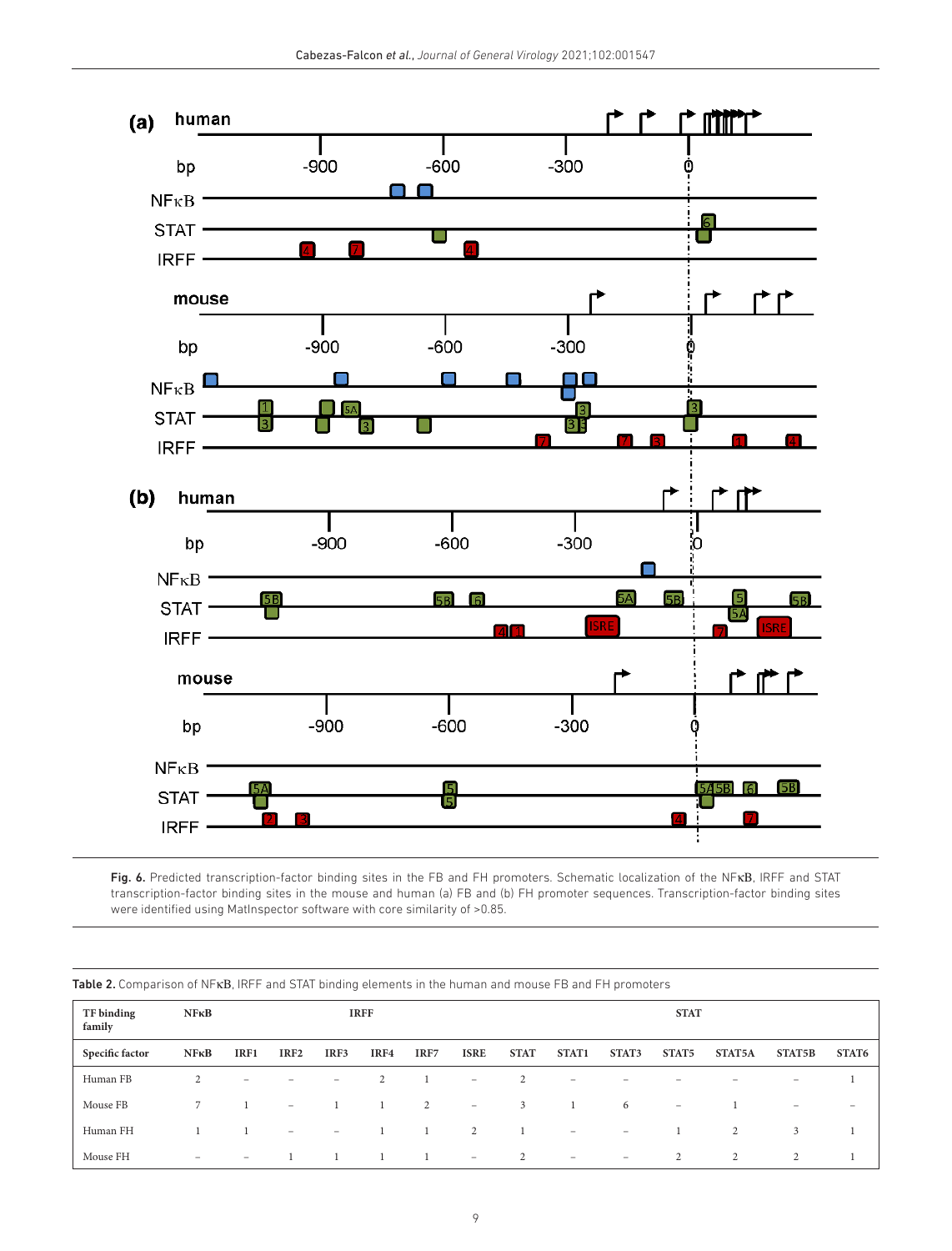

Fig. 6. Predicted transcription- factor binding sites in the FB and FH promoters. Schematic localization of the NFκΒ, IRFF and STAT transcription- factor binding sites in the mouse and human (a) FB and (b) FH promoter sequences. Transcription- factor binding sites were identified using MatInspector software with core similarity of >0.85.

| TF binding<br>family | NFRB                     | <b>IRFF</b>              |                          |                                   |      |      |                                                                           |             | <b>STAT</b>                  |                          |                          |        |                          |                          |
|----------------------|--------------------------|--------------------------|--------------------------|-----------------------------------|------|------|---------------------------------------------------------------------------|-------------|------------------------------|--------------------------|--------------------------|--------|--------------------------|--------------------------|
| Specific factor      | NFRB                     | IRF1                     | IRF <sub>2</sub>         | IRF3                              | IRF4 | IRF7 | <b>ISRE</b>                                                               | <b>STAT</b> | STAT1                        | STAT3                    | STAT5                    | STAT5A | STAT5B                   | STAT6                    |
| Human FB             | 2                        | $\overline{\phantom{a}}$ | -                        | $\hspace{1.0cm} - \hspace{1.0cm}$ | 2    |      | $\hspace{1.0cm} \rule{1.5cm}{0.15cm} \hspace{1.0cm} \rule{1.5cm}{0.15cm}$ |             | $\qquad \qquad \blacksquare$ |                          |                          |        | $\overline{\phantom{0}}$ |                          |
| Mouse FB             |                          |                          | $\overline{\phantom{a}}$ |                                   |      | 2    | $\hspace{1.0cm} \rule{1.5cm}{0.15cm} \hspace{1.0cm} \rule{1.5cm}{0.15cm}$ | 3           |                              | 6                        | $\overline{\phantom{a}}$ |        | $\qquad \qquad -$        | $\overline{\phantom{0}}$ |
| Human FH             |                          |                          | $\overline{\phantom{a}}$ | $\hspace{1.0cm} - \hspace{1.0cm}$ |      |      | 2                                                                         |             | $\overline{\phantom{0}}$     | $\overline{\phantom{0}}$ |                          | 2      | 3                        |                          |
| Mouse FH             | $\overline{\phantom{0}}$ | $\overline{\phantom{a}}$ |                          |                                   |      |      | $\overline{\phantom{a}}$                                                  | 2           | $\overline{\phantom{a}}$     | $\overline{\phantom{0}}$ | 2                        | 2      | 2                        |                          |

Table 2. Comparison of NFκΒ, IRFF and STAT binding elements in the human and mouse FB and FH promoters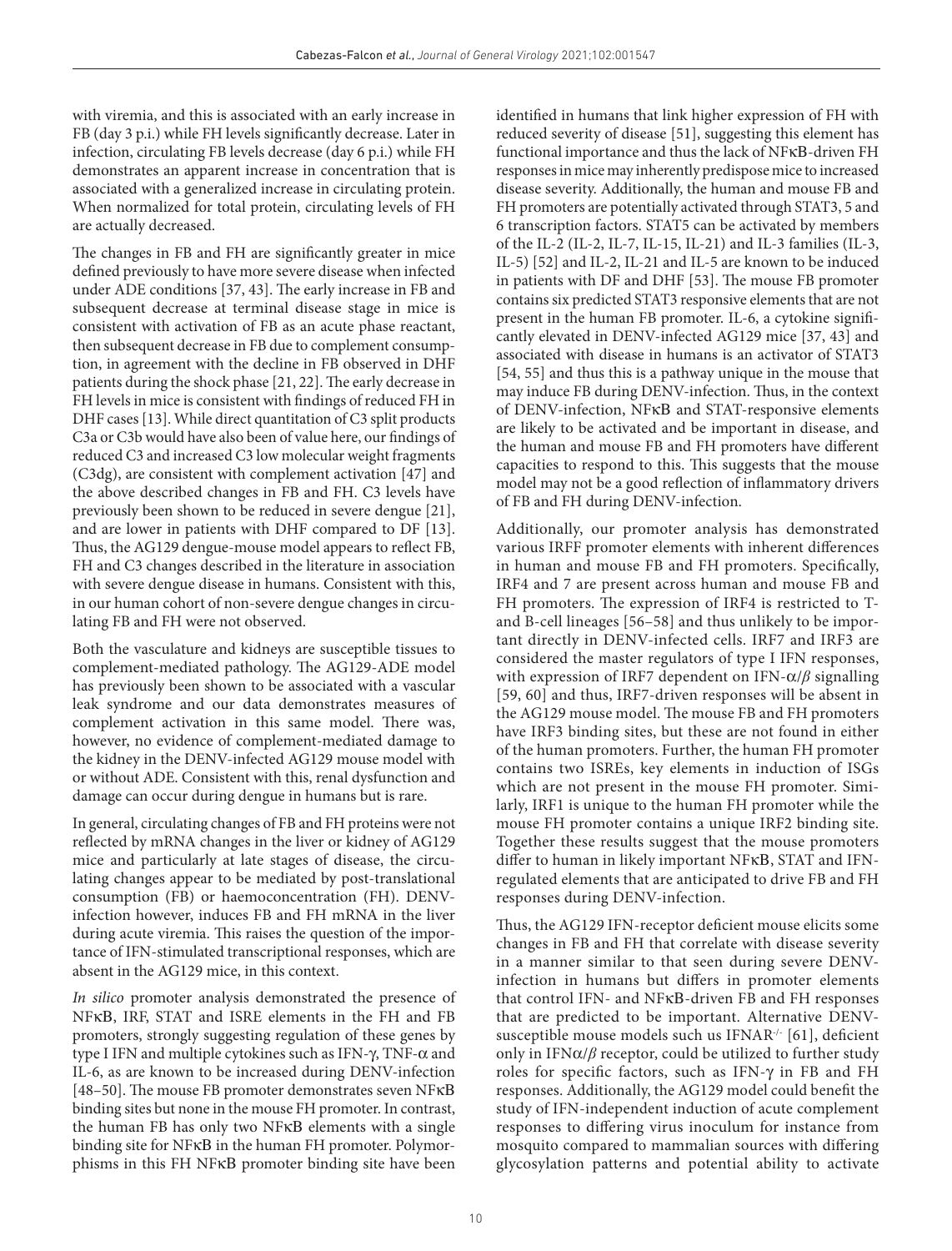with viremia, and this is associated with an early increase in FB (day 3 p.i.) while FH levels significantly decrease. Later in infection, circulating FB levels decrease (day 6 p.i.) while FH demonstrates an apparent increase in concentration that is associated with a generalized increase in circulating protein. When normalized for total protein, circulating levels of FH are actually decreased.

The changes in FB and FH are significantly greater in mice defined previously to have more severe disease when infected under ADE conditions [37, 43]. The early increase in FB and subsequent decrease at terminal disease stage in mice is consistent with activation of FB as an acute phase reactant, then subsequent decrease in FB due to complement consumption, in agreement with the decline in FB observed in DHF patients during the shock phase [21, 22]. The early decrease in FH levels in mice is consistent with findings of reduced FH in DHF cases [13]. While direct quantitation of C3 split products C3a or C3b would have also been of value here, our findings of reduced C3 and increased C3 low molecular weight fragments (C3dg), are consistent with complement activation [47] and the above described changes in FB and FH. C3 levels have previously been shown to be reduced in severe dengue [21], and are lower in patients with DHF compared to DF [13]. Thus, the AG129 dengue- mouse model appears to reflect FB, FH and C3 changes described in the literature in association with severe dengue disease in humans. Consistent with this, in our human cohort of non- severe dengue changes in circulating FB and FH were not observed.

Both the vasculature and kidneys are susceptible tissues to complement- mediated pathology. The AG129- ADE model has previously been shown to be associated with a vascular leak syndrome and our data demonstrates measures of complement activation in this same model. There was, however, no evidence of complement-mediated damage to the kidney in the DENV- infected AG129 mouse model with or without ADE. Consistent with this, renal dysfunction and damage can occur during dengue in humans but is rare.

In general, circulating changes of FB and FH proteins were not reflected by mRNA changes in the liver or kidney of AG129 mice and particularly at late stages of disease, the circulating changes appear to be mediated by post-translational consumption (FB) or haemoconcentration (FH). DENVinfection however, induces FB and FH mRNA in the liver during acute viremia. This raises the question of the importance of IFN-stimulated transcriptional responses, which are absent in the AG129 mice, in this context.

In silico promoter analysis demonstrated the presence of NFκΒ, IRF, STAT and ISRE elements in the FH and FB promoters, strongly suggesting regulation of these genes by type I IFN and multiple cytokines such as IFN-γ, TNF-α and IL-6, as are known to be increased during DENV-infection [48–50]. The mouse FB promoter demonstrates seven NFκΒ binding sites but none in the mouse FH promoter. In contrast, the human FB has only two NFκΒ elements with a single binding site for NFκΒ in the human FH promoter. Polymorphisms in this FH NFκΒ promoter binding site have been

identified in humans that link higher expression of FH with reduced severity of disease [51], suggesting this element has functional importance and thus the lack of NFκΒ-driven FH responses in mice may inherently predispose mice to increased disease severity. Additionally, the human and mouse FB and FH promoters are potentially activated through STAT3, 5 and 6 transcription factors. STAT5 can be activated by members of the IL-2 (IL-2, IL-7, IL-15, IL-21) and IL-3 families (IL-3, IL-5) [52] and IL-2, IL-21 and IL-5 are known to be induced in patients with DF and DHF [53]. The mouse FB promoter contains six predicted STAT3 responsive elements that are not present in the human FB promoter. IL-6, a cytokine significantly elevated in DENV-infected AG129 mice [37, 43] and associated with disease in humans is an activator of STAT3 [54, 55] and thus this is a pathway unique in the mouse that may induce FB during DENV- infection. Thus, in the context of DENV- infection, NFκΒ and STAT- responsive elements are likely to be activated and be important in disease, and the human and mouse FB and FH promoters have different capacities to respond to this. This suggests that the mouse model may not be a good reflection of inflammatory drivers of FB and FH during DENV- infection.

Additionally, our promoter analysis has demonstrated various IRFF promoter elements with inherent differences in human and mouse FB and FH promoters. Specifically, IRF4 and 7 are present across human and mouse FB and FH promoters. The expression of IRF4 is restricted to Tand B- cell lineages [56–58] and thus unlikely to be important directly in DENV-infected cells. IRF7 and IRF3 are considered the master regulators of type I IFN responses, with expression of IRF7 dependent on IFN-α/*β* signalling [59, 60] and thus, IRF7-driven responses will be absent in the AG129 mouse model. The mouse FB and FH promoters have IRF3 binding sites, but these are not found in either of the human promoters. Further, the human FH promoter contains two ISREs, key elements in induction of ISGs which are not present in the mouse FH promoter. Similarly, IRF1 is unique to the human FH promoter while the mouse FH promoter contains a unique IRF2 binding site. Together these results suggest that the mouse promoters differ to human in likely important NFκΒ, STAT and IFNregulated elements that are anticipated to drive FB and FH responses during DENV- infection.

Thus, the AG129 IFN- receptor deficient mouse elicits some changes in FB and FH that correlate with disease severity in a manner similar to that seen during severe DENVinfection in humans but differs in promoter elements that control IFN- and NFκΒ-driven FB and FH responses that are predicted to be important. Alternative DENVsusceptible mouse models such us IFNAR-/- [61], deficient only in IFN $\alpha/\beta$  receptor, could be utilized to further study roles for specific factors, such as IFN-γ in FB and FH responses. Additionally, the AG129 model could benefit the study of IFN- independent induction of acute complement responses to differing virus inoculum for instance from mosquito compared to mammalian sources with differing glycosylation patterns and potential ability to activate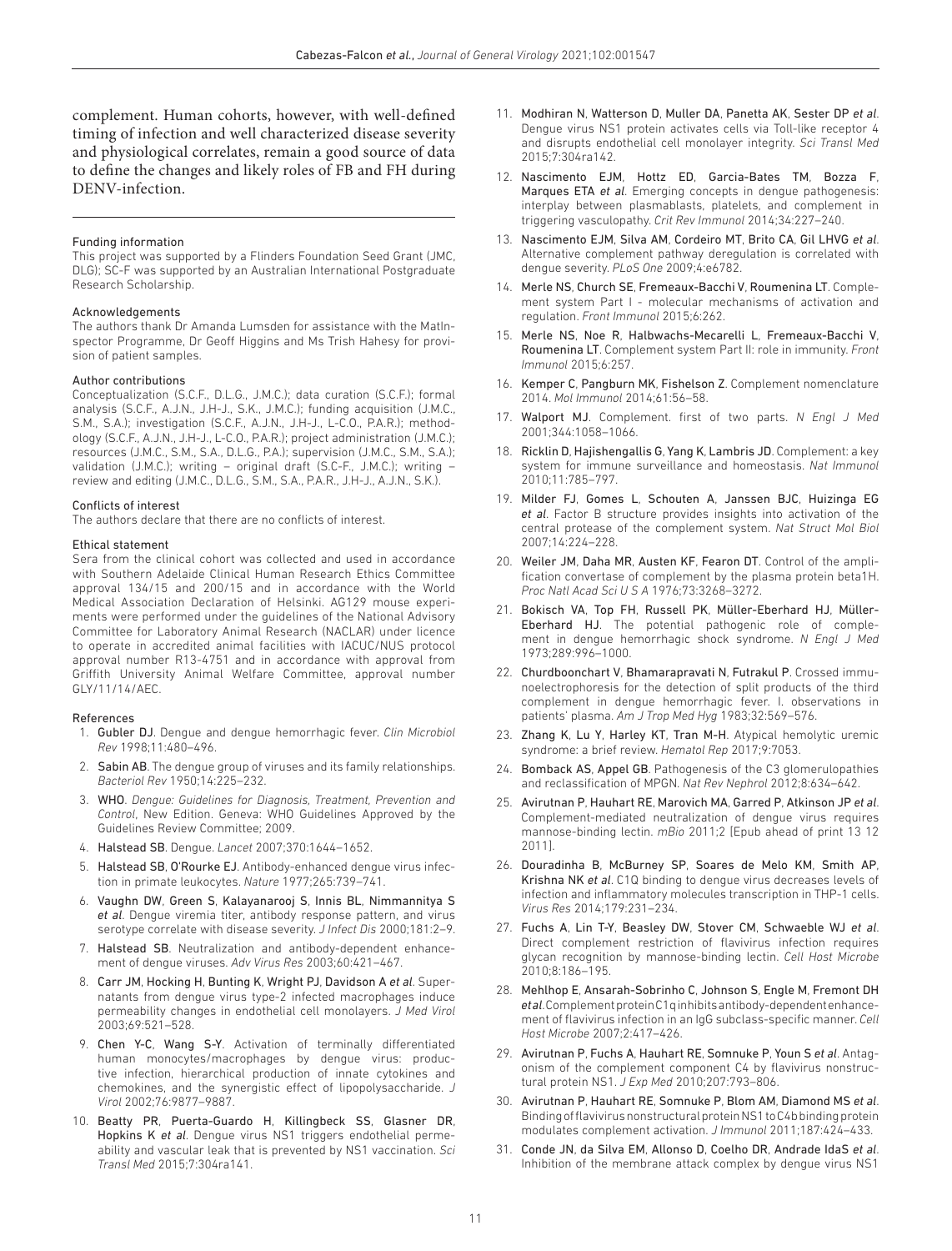complement. Human cohorts, however, with well- defined timing of infection and well characterized disease severity and physiological correlates, remain a good source of data to define the changes and likely roles of FB and FH during DENV-infection.

#### Funding information

This project was supported by a Flinders Foundation Seed Grant (JMC, DLG); SC-F was supported by an Australian International Postgraduate Research Scholarship.

#### Acknowledgements

The authors thank Dr Amanda Lumsden for assistance with the MatInspector Programme, Dr Geoff Higgins and Ms Trish Hahesy for provision of patient samples.

#### Author contributions

Conceptualization (S.C.F., D.L.G., J.M.C.); data curation (S.C.F.); formal analysis (S.C.F., A.J.N., J.H-J., S.K., J.M.C.); funding acquisition (J.M.C., S.M., S.A.); investigation (S.C.F., A.J.N., J.H-J., L-C.O., P.A.R.); methodology (S.C.F., A.J.N., J.H-J., L-C.O., P.A.R.); project administration (J.M.C.); resources (J.M.C., S.M., S.A., D.L.G., P.A.); supervision (J.M.C., S.M., S.A.); validation  $(J.M.C.)$ ; writing – original draft  $(S.C-F., J.M.C.)$ ; writing review and editing (J.M.C., D.L.G., S.M., S.A., P.A.R., J.H-J., A.J.N., S.K.).

#### Conflicts of interest

The authors declare that there are no conflicts of interest.

#### Ethical statement

Sera from the clinical cohort was collected and used in accordance with Southern Adelaide Clinical Human Research Ethics Committee approval 134/15 and 200/15 and in accordance with the World Medical Association Declaration of Helsinki. AG129 mouse experiments were performed under the guidelines of the National Advisory Committee for Laboratory Animal Research (NACLAR) under licence to operate in accredited animal facilities with IACUC/NUS protocol approval number R13-4751 and in accordance with approval from Griffith University Animal Welfare Committee, approval number GLY/11/14/AEC.

#### References

- 1. Gubler DJ. Dengue and dengue hemorrhagic fever. *Clin Microbiol Rev* 1998;11:480–496.
- 2. Sabin AB. The dengue group of viruses and its family relationships. *Bacteriol Rev* 1950;14:225–232.
- 3. WHO. *Dengue: Guidelines for Diagnosis, Treatment, Prevention and Control*, New Edition. Geneva: WHO Guidelines Approved by the Guidelines Review Committee; 2009.
- 4. Halstead SB. Dengue. *Lancet* 2007;370:1644–1652.
- 5. Halstead SB, O'Rourke EJ. Antibody- enhanced dengue virus infection in primate leukocytes. *Nature* 1977;265:739–741.
- 6. Vaughn DW, Green S, Kalayanarooj S, Innis BL, Nimmannitya S *et al*. Dengue viremia titer, antibody response pattern, and virus serotype correlate with disease severity. *J Infect Dis* 2000;181:2–9.
- 7. Halstead SB. Neutralization and antibody- dependent enhancement of dengue viruses. *Adv Virus Res* 2003;60:421–467.
- 8. Carr JM, Hocking H, Bunting K, Wright PJ, Davidson A *et al*. Supernatants from dengue virus type-2 infected macrophages induce permeability changes in endothelial cell monolayers. *J Med Virol* 2003;69:521–528.
- 9. Chen Y-C, Wang S-Y. Activation of terminally differentiated human monocytes/macrophages by dengue virus: productive infection, hierarchical production of innate cytokines and chemokines, and the synergistic effect of lipopolysaccharide. *J Virol* 2002;76:9877–9887.
- 10. Beatty PR, Puerta-Guardo H, Killingbeck SS, Glasner DR, Hopkins K *et al*. Dengue virus NS1 triggers endothelial permeability and vascular leak that is prevented by NS1 vaccination. *Sci Transl Med* 2015;7:304ra141.
- 11. Modhiran N, Watterson D, Muller DA, Panetta AK, Sester DP *et al*. Dengue virus NS1 protein activates cells via Toll-like receptor 4 and disrupts endothelial cell monolayer integrity. *Sci Transl Med* 2015;7:304ra142.
- 12. Nascimento EJM, Hottz ED, Garcia-Bates TM, Bozza F, Marques ETA *et al*. Emerging concepts in dengue pathogenesis: interplay between plasmablasts, platelets, and complement in triggering vasculopathy. *Crit Rev Immunol* 2014;34:227–240.
- 13. Nascimento EJM, Silva AM, Cordeiro MT, Brito CA, Gil LHVG *et al*. Alternative complement pathway deregulation is correlated with dengue severity. *PLoS One* 2009;4:e6782.
- 14. Merle NS, Church SE, Fremeaux-Bacchi V, Roumenina LT. Complement system Part I - molecular mechanisms of activation and regulation. *Front Immunol* 2015;6:262.
- 15. Merle NS, Noe R, Halbwachs-Mecarelli L, Fremeaux-Bacchi V, Roumenina LT. Complement system Part II: role in immunity. *Front Immunol* 2015;6:257.
- 16. Kemper C, Pangburn MK, Fishelson Z. Complement nomenclature 2014. *Mol Immunol* 2014;61:56–58.
- 17. Walport MJ. Complement. first of two parts. *N Engl J Med* 2001;344:1058–1066.
- 18. Ricklin D, Hajishengallis G, Yang K, Lambris JD. Complement: a key system for immune surveillance and homeostasis. *Nat Immunol* 2010;11:785–797.
- 19. Milder FJ, Gomes L, Schouten A, Janssen BJC, Huizinga EG *et al*. Factor B structure provides insights into activation of the central protease of the complement system. *Nat Struct Mol Biol* 2007;14:224–228.
- 20. Weiler JM, Daha MR, Austen KF, Fearon DT. Control of the amplification convertase of complement by the plasma protein beta1H. *Proc Natl Acad Sci U S A* 1976;73:3268–3272.
- 21. Bokisch VA, Top FH, Russell PK, Müller-Eberhard HJ, Müller-Eberhard HJ. The potential pathogenic role of complement in dengue hemorrhagic shock syndrome. *N Engl J Med* 1973;289:996–1000.
- 22. Churdboonchart V, Bhamarapravati N, Futrakul P. Crossed immunoelectrophoresis for the detection of split products of the third complement in dengue hemorrhagic fever. I. observations in patients' plasma. *Am J Trop Med Hyg* 1983;32:569–576.
- 23. Zhang K, Lu Y, Harley KT, Tran M-H. Atypical hemolytic uremic syndrome: a brief review. *Hematol Rep* 2017;9:7053.
- 24. Bomback AS, Appel GB. Pathogenesis of the C3 glomerulopathies and reclassification of MPGN. *Nat Rev Nephrol* 2012;8:634–642.
- 25. Avirutnan P, Hauhart RE, Marovich MA, Garred P, Atkinson JP *et al*. Complement- mediated neutralization of dengue virus requires mannose- binding lectin. *mBio* 2011;2 [Epub ahead of print 13 12 2011].
- 26. Douradinha B, McBurney SP, Soares de Melo KM, Smith AP, Krishna NK *et al*. C1Q binding to dengue virus decreases levels of infection and inflammatory molecules transcription in THP-1 cells. *Virus Res* 2014;179:231–234.
- 27. Fuchs A, Lin T-Y, Beasley DW, Stover CM, Schwaeble WJ et al. Direct complement restriction of flavivirus infection requires glycan recognition by mannose- binding lectin. *Cell Host Microbe* 2010;8:186–195.
- 28. Mehlhop E, Ansarah-Sobrinho C, Johnson S, Engle M, Fremont DH *et al*. Complement protein C1q inhibits antibody- dependent enhancement of flavivirus infection in an IgG subclass- specific manner. *Cell Host Microbe* 2007;2:417–426.
- 29. Avirutnan P, Fuchs A, Hauhart RE, Somnuke P, Youn S *et al*. Antagonism of the complement component C4 by flavivirus nonstructural protein NS1. *J Exp Med* 2010;207:793–806.
- 30. Avirutnan P, Hauhart RE, Somnuke P, Blom AM, Diamond MS *et al*. Binding of flavivirus nonstructural protein NS1 to C4b binding protein modulates complement activation. *J Immunol* 2011;187:424–433.
- 31. Conde JN, da Silva EM, Allonso D, Coelho DR, Andrade IdaS *et al*. Inhibition of the membrane attack complex by dengue virus NS1